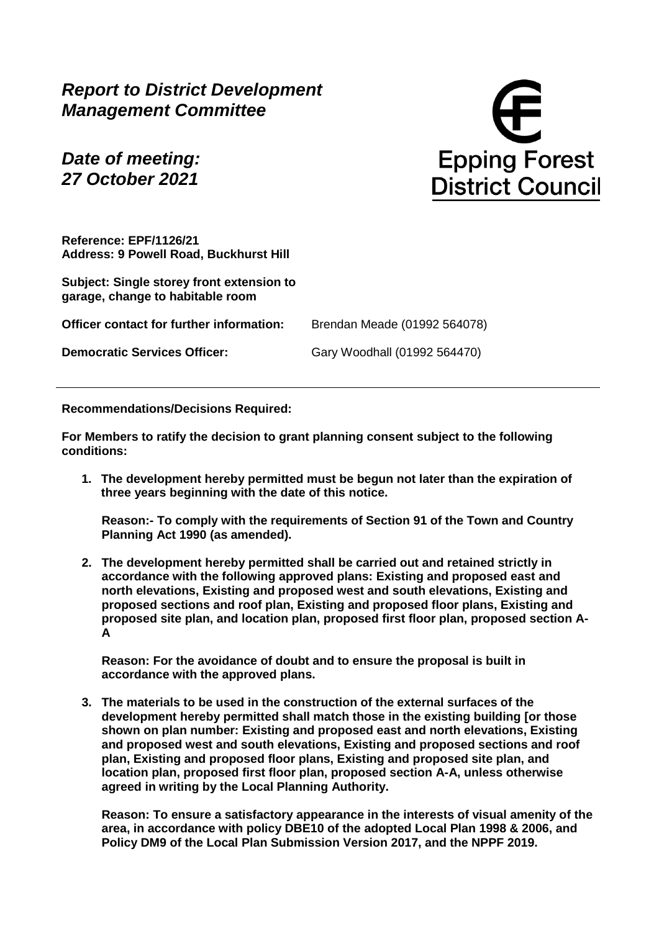*Report to District Development Management Committee*

*Date of meeting: 27 October 2021*

**Epping Forest District Council** 

**Reference: EPF/1126/21 Address: 9 Powell Road, Buckhurst Hill**

**Subject: Single storey front extension to garage, change to habitable room**

**Officer contact for further information:** Brendan Meade (01992 564078)

**Democratic Services Officer:** Gary Woodhall (01992 564470)

**Recommendations/Decisions Required:**

**For Members to ratify the decision to grant planning consent subject to the following conditions:** 

**1. The development hereby permitted must be begun not later than the expiration of three years beginning with the date of this notice.**

**Reason:- To comply with the requirements of Section 91 of the Town and Country Planning Act 1990 (as amended).**

**2. The development hereby permitted shall be carried out and retained strictly in accordance with the following approved plans: Existing and proposed east and north elevations, Existing and proposed west and south elevations, Existing and proposed sections and roof plan, Existing and proposed floor plans, Existing and proposed site plan, and location plan, proposed first floor plan, proposed section A-A**

**Reason: For the avoidance of doubt and to ensure the proposal is built in accordance with the approved plans.**

**3. The materials to be used in the construction of the external surfaces of the development hereby permitted shall match those in the existing building [or those shown on plan number: Existing and proposed east and north elevations, Existing and proposed west and south elevations, Existing and proposed sections and roof plan, Existing and proposed floor plans, Existing and proposed site plan, and location plan, proposed first floor plan, proposed section A-A, unless otherwise agreed in writing by the Local Planning Authority.**

**Reason: To ensure a satisfactory appearance in the interests of visual amenity of the area, in accordance with policy DBE10 of the adopted Local Plan 1998 & 2006, and Policy DM9 of the Local Plan Submission Version 2017, and the NPPF 2019.**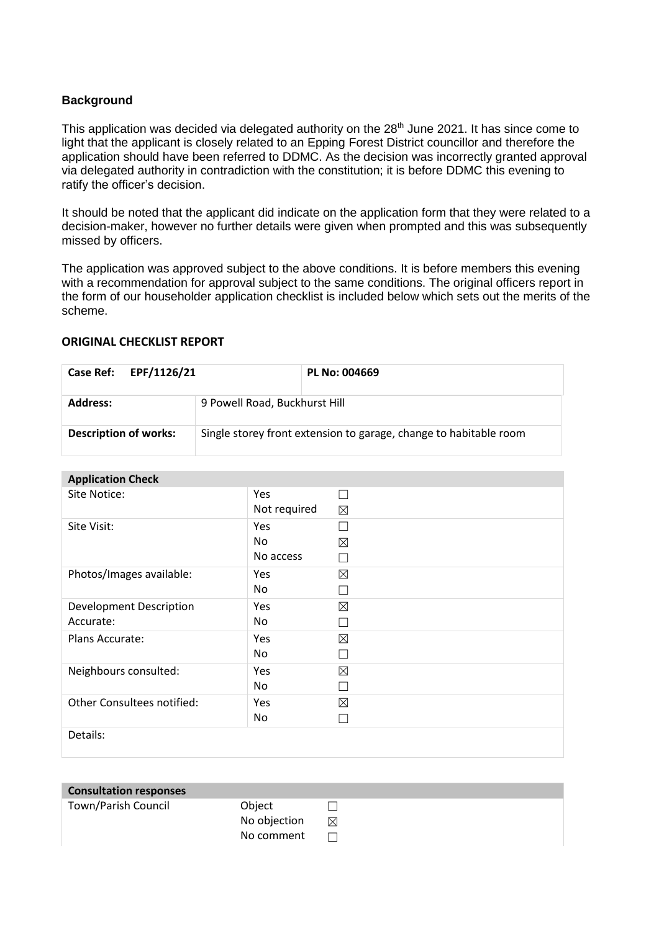## **Background**

This application was decided via delegated authority on the 28<sup>th</sup> June 2021. It has since come to light that the applicant is closely related to an Epping Forest District councillor and therefore the application should have been referred to DDMC. As the decision was incorrectly granted approval via delegated authority in contradiction with the constitution; it is before DDMC this evening to ratify the officer's decision.

It should be noted that the applicant did indicate on the application form that they were related to a decision-maker, however no further details were given when prompted and this was subsequently missed by officers.

The application was approved subject to the above conditions. It is before members this evening with a recommendation for approval subject to the same conditions. The original officers report in the form of our householder application checklist is included below which sets out the merits of the scheme.

## **ORIGINAL CHECKLIST REPORT**

| Case Ref: EPF/1126/21        |                               | PL No: 004669                                                     |
|------------------------------|-------------------------------|-------------------------------------------------------------------|
| Address:                     | 9 Powell Road, Buckhurst Hill |                                                                   |
| <b>Description of works:</b> |                               | Single storey front extension to garage, change to habitable room |

## **Application Check**

| Thermometers and the second the second terms of the second terms of the second terms of the second terms of the second terms of the second terms of the second terms of the second terms of the second terms of the second ter |              |             |
|--------------------------------------------------------------------------------------------------------------------------------------------------------------------------------------------------------------------------------|--------------|-------------|
| Site Notice:                                                                                                                                                                                                                   | Yes          |             |
|                                                                                                                                                                                                                                | Not required | $\boxtimes$ |
| Site Visit:                                                                                                                                                                                                                    | <b>Yes</b>   | П           |
|                                                                                                                                                                                                                                | No           | ⊠           |
|                                                                                                                                                                                                                                | No access    |             |
| Photos/Images available:                                                                                                                                                                                                       | Yes          | $\boxtimes$ |
|                                                                                                                                                                                                                                | No           |             |
| <b>Development Description</b>                                                                                                                                                                                                 | Yes          | $\boxtimes$ |
| Accurate:                                                                                                                                                                                                                      | No           |             |
| Plans Accurate:                                                                                                                                                                                                                | Yes          | ⊠           |
|                                                                                                                                                                                                                                | No           |             |
| Neighbours consulted:                                                                                                                                                                                                          | <b>Yes</b>   | $\boxtimes$ |
|                                                                                                                                                                                                                                | No           |             |
| Other Consultees notified:                                                                                                                                                                                                     | Yes          | $\boxtimes$ |
|                                                                                                                                                                                                                                | No           |             |
| Details:                                                                                                                                                                                                                       |              |             |
|                                                                                                                                                                                                                                |              |             |

| <b>Consultation responses</b> |              |   |
|-------------------------------|--------------|---|
| Town/Parish Council           | Object       |   |
|                               | No objection | ⊠ |
|                               | No comment   |   |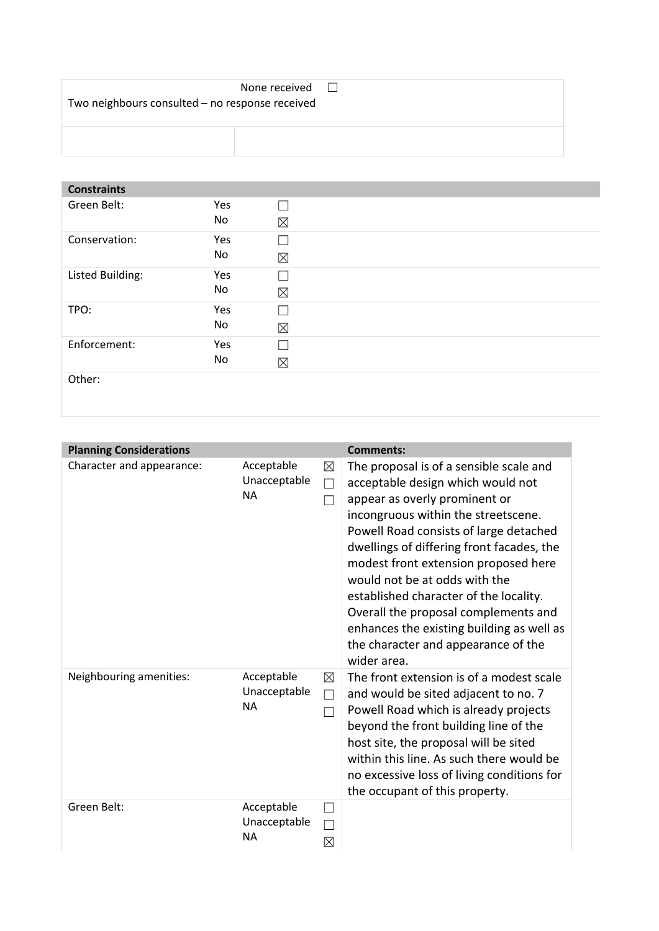| Two neighbours consulted - no response received | None received | $\perp$ |
|-------------------------------------------------|---------------|---------|
|                                                 |               |         |

## **Constraints**  Green Belt: Yes No  $\Box$ ☒ Conservation: Yes No  $\Box$  $\boxtimes$ Listed Building: Yes No  $\Box$ ☒ TPO: Yes No  $\Box$ ☒ Enforcement: Yes No  $\Box$ ☒

Other:

| <b>Planning Considerations</b> |                                         |                            | <b>Comments:</b>                                                                                                                                                                                                                                                                                                                                                                                                                                                                                          |
|--------------------------------|-----------------------------------------|----------------------------|-----------------------------------------------------------------------------------------------------------------------------------------------------------------------------------------------------------------------------------------------------------------------------------------------------------------------------------------------------------------------------------------------------------------------------------------------------------------------------------------------------------|
| Character and appearance:      | Acceptable<br>Unacceptable<br><b>NA</b> | $\boxtimes$<br>$\Box$      | The proposal is of a sensible scale and<br>acceptable design which would not<br>appear as overly prominent or<br>incongruous within the streetscene.<br>Powell Road consists of large detached<br>dwellings of differing front facades, the<br>modest front extension proposed here<br>would not be at odds with the<br>established character of the locality.<br>Overall the proposal complements and<br>enhances the existing building as well as<br>the character and appearance of the<br>wider area. |
| Neighbouring amenities:        | Acceptable<br>Unacceptable<br><b>NA</b> | $\boxtimes$<br>$\Box$<br>П | The front extension is of a modest scale<br>and would be sited adjacent to no. 7<br>Powell Road which is already projects<br>beyond the front building line of the<br>host site, the proposal will be sited<br>within this line. As such there would be<br>no excessive loss of living conditions for<br>the occupant of this property.                                                                                                                                                                   |
| Green Belt:                    | Acceptable<br>Unacceptable<br><b>NA</b> | ⊠                          |                                                                                                                                                                                                                                                                                                                                                                                                                                                                                                           |